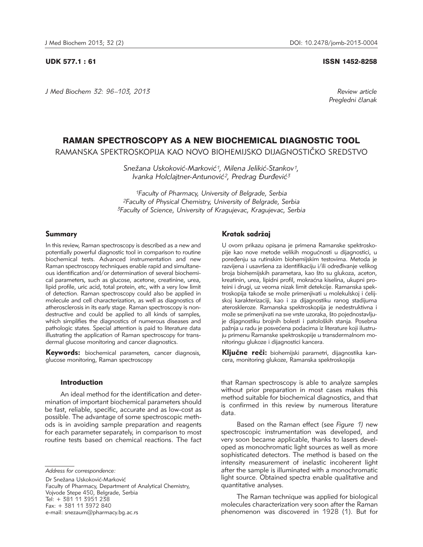*J Med Biochem 32: 96–103, 2013 Review article*

#### UDK 577.1 : 61 ISSN 1452-8258

*Pregledni ~lanak*

# RAMAN SPECTROSCOPY AS A NEW BIOCHEMICAL DIAGNOSTIC TOOL

RAMANSKA SPEKTROSKOPIJA KAO NOVO BIOHEMIJSKO DIJAGNOSTIČKO SREDSTVO

Snežana Uskoković-Marković<sup>1</sup>, Milena Jelikić-Stankov<sup>1</sup>, *Ivanka Holclajtner-Antunović<sup>2</sup>, Predrag Đurđević<sup>3</sup>* 

*1Faculty of Pharmacy, University of Belgrade, Serbia 2Faculty of Physical Chemistry, University of Belgrade, Serbia 3Faculty of Science, University of Kragujevac, Kragujevac, Serbia*

#### Summary

In this review, Raman spectroscopy is described as a new and potentially powerful diagnostic tool in comparison to routine biochemical tests. Advanced instrumentation and new Raman spectroscopy techniques enable rapid and simultaneous identification and/or determination of several biochemical parameters, such as glucose, acetone, creatinine, urea, lipid profile, uric acid, total protein, etc, with a very low limit of detection. Raman spectroscopy could also be applied in molecule and cell characterization, as well as diagnostics of atherosclerosis in its early stage. Raman spectroscopy is nondestructive and could be applied to all kinds of samples, which simplifies the diagnostics of numerous diseases and pathologic states. Special attention is paid to literature data illustrating the application of Raman spectroscopy for transdermal glucose monitoring and cancer diagnostics.

Keywords: biochemical parameters, cancer diagnosis, glu cose monitoring, Raman spectroscopy

#### Introduction

An ideal method for the identification and determination of important biochemical parameters should be fast, reliable, specific, accurate and as low-cost as possible. The advantage of some spectroscopic methods is in avoiding sample preparation and reagents for each parameter separately, in comparison to most routine tests based on chemical reactions. The fact

Dr Snežana Uskoković-Marković Faculty of Pharmacy, Department of Analytical Chemistry, Vojvode Stepe 450, Belgrade, Serbia Tel: + 381 11 3951 238 Fax: + 381 11 3972 840 e-mail: snezaum@pharmacy.bg.ac.rs

# Kratak sadržaj

U ovom prikazu opisana je primena Ramanske spektroskopije kao nove metode velikih mogućnosti u dijagnostici, u poređenju sa rutinskim biohemijskim testovima. Metoda je razvijena i usavršena za identifikaciju i/ili određivanje velikog broja biohemijskih parametara, kao što su glukoza, aceton, kreatinin, urea, lipidni profil, mokraćna kiselina, ukupni proteini i drugi, uz veoma nizak limit detekcije. Ramanska spektroskopija takođe se može primenjivati u molekulskoj i ćelijskoj karakterizaciji, kao i za dijagnostiku ranog stadijuma ateroskleroze. Ramanska spektroskopija je nedestruktivna i može se primenjivati na sve vrste uzoraka, što pojednostavljuje dijagnostiku brojnih bolesti i patoloških stanja. Posebna pažnja u radu je posvećena podacima iz literature koji ilustruju primenu Ramanske spektroskopije u transdermalnom monitoringu glukoze i dijagnostici kancera.

Ključne reči: biohemijski parametri, dijagnostika kancera, monitoring glukoze, Ramanska spektroskopija

that Raman spectroscopy is able to analyze samples without prior preparation in most cases makes this method suitable for biochemical diagnostics, and that is confirmed in this review by numerous literature data.

Based on the Raman effect (see *Figure 1)* new spectroscopic instrumentation was developed, and very soon became applicable, thanks to lasers developed as monochromatic light sources as well as more sophisticated detectors. The method is based on the intensity measurement of inelastic incoherent light after the sample is illuminated with a monochromatic light source. Obtained spectra enable qualitative and quantitative analyses.

The Raman technique was applied for biological molecules characterization very soon after the Raman phenomenon was discovered in 1928 (1). But for

*Address for correspondence:*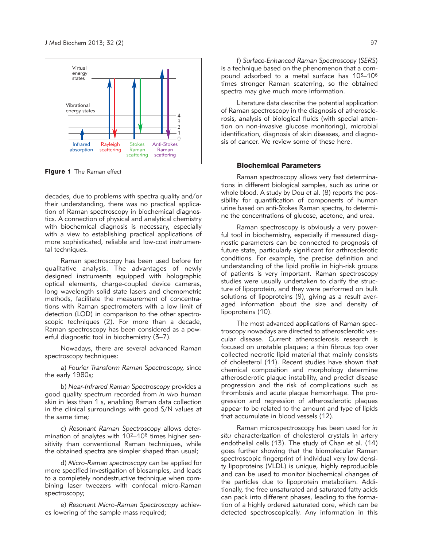

Figure 1 The Raman effect

decades, due to problems with spectra quality and/or their understanding, there was no practical application of Raman spectroscopy in biochemical diagnostics. A connection of physical and analytical chemistry with biochemical diagnosis is necessary, especially with a view to establishing practical applications of more sophisticated, reliable and low-cost instrumental techniques.

Raman spectroscopy has been used before for qualitative analysis. The advantages of newly designed instruments equipped with holographic optical elements, charge-coupled device cameras, long wavelength solid state lasers and chemometric methods, facilitate the measurement of concentrations with Raman spectrometers with a low limit of detection (LOD) in comparison to the other spectroscopic techniques (2). For more than a decade, Raman spectroscopy has been considered as a powerful diagnostic tool in biochemistry (3–7).

Nowadays, there are several advanced Raman spectroscopy techniques:

a) *Fourier Transform Raman Spectroscopy,* since the early 1980s;

b) *Near-Infrared Raman Spectroscopy* provides a good quality spectrum recorded from *in vivo* human skin in less than 1 s, enabling Raman data collection in the clinical surroundings with good S/N values at the same time;

c) *Resonant Raman Spectroscopy* allows determination of analytes with  $10^{2}$ – $10^{6}$  times higher sensitivity than conventional Raman techniques, while the obtained spectra are simpler shaped than usual;

d) *Micro-Raman spectroscopy* can be applied for more specified investigation of biosamples, and leads to a completely nondestructive technique when combining laser tweezers with confocal micro-Raman spectroscopy;

e) Resonant Micro-Raman Spectroscopy achieves lowering of the sample mass required;

f) *Surface-Enhanced Raman Spectroscopy* (*SERS*) is a technique based on the phenomenon that a compound adsorbed to a metal surface has 103–106 times stronger Raman scaterring, so the obtained spectra may give much more information.

Literature data describe the potential application of Raman spectroscopy in the diagnosis of atherosclerosis, analysis of biological fluids (with special attention on non-invasive glucose monitoring), microbial identification, diagnosis of skin diseases, and diagnosis of cancer. We review some of these here.

### Biochemical Parameters

Raman spectroscopy allows very fast determinations in different biological samples, such as urine or whole blood. A study by Dou et al. (8) reports the possibility for quantification of components of human urine based on anti-Stokes Raman spectra, to determine the concentrations of glucose, acetone, and urea.

Raman spectroscopy is obviously a very powerful tool in biochemistry, especially if measured diagnostic parameters can be connected to prognosis of future state, particularly significant for arthrosclerotic conditions. For example, the precise definition and understanding of the lipid profile in high-risk groups of patients is very important. Raman spectroscopy studies were usually undertaken to clarify the structure of lipoprotein, and they were performed on bulk solutions of lipoproteins (9), giving as a result averaged information about the size and density of lipoproteins (10).

The most advanced applications of Raman spectroscopy nowadays are directed to atherosclerotic vascular disease. Current atherosclerosis research is focused on unstable plaques; a thin fibrous top over collected necrotic lipid material that mainly consists of cholesterol (11). Recent studies have shown that chemical composition and morphology determine atherosclerotic plaque instability, and predict disease progression and the risk of complications such as thrombosis and acute plaque hemorrhage. The progression and regression of atherosclerotic plaques appear to be related to the amount and type of lipids that accumulate in blood vessels (12).

Raman microspectroscopy has been used for *in situ* characterization of cholesterol crystals in artery endothelial cells (13). The study of Chan et al. (14) goes further showing that the biomolecular Raman spectroscopic fingerprint of individual very low density lipoproteins (VLDL) is unique, highly reproducible and can be used to monitor biochemical changes of the particles due to lipoprotein metabolism. Additionally, the free unsaturated and saturated fatty acids can pack into different phases, leading to the formation of a highly ordered saturated core, which can be detected spectroscopically. Any information in this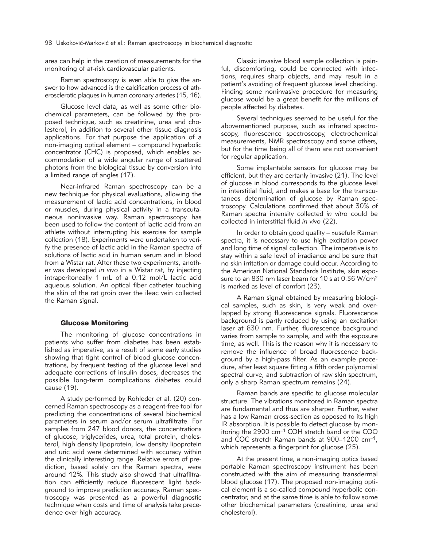area can help in the creation of measurements for the monitoring of at-risk cardiovascular patients.

Raman spectroscopy is even able to give the answer to how advanced is the calcification process of atherosclerotic plaques in human coronary arteries (15, 16).

Glucose level data, as well as some other biochemical parameters, can be followed by the proposed technique, such as creatinine, urea and cholesterol, in addition to several other tissue diagnosis applications. For that purpose the application of a non-imaging optical element – compound hyperbolic concentrator (CHC) is proposed, which enables accom modation of a wide angular range of scattered photons from the biological tissue by conversion into a limited range of angles (17).

Near-infrared Raman spectroscopy can be a new technique for physical evaluations, allowing the measurement of lactic acid concentrations, in blood or muscles, during physical activity in a transcutaneous noninvasive way. Raman spectroscopy has been used to follow the content of lactic acid from an athlete without interrupting his exercise for sample collection (18). Experiments were undertaken to verify the presence of lactic acid in the Raman spectra of solutions of lactic acid in human serum and in blood from a Wistar rat. After these two experiments, another was developed *in vivo* in a Wistar rat, by injecting intraperitoneally 1 mL of a 0.12 mol/L lactic acid aqueous solution. An optical fiber catheter touching the skin of the rat groin over the ileac vein collected the Raman signal.

# Glucose Monitoring

The monitoring of glucose concentrations in patients who suffer from diabetes has been established as imperative, as a result of some early studies showing that tight control of blood glucose concentrations, by frequent testing of the glucose level and adequate corrections of insulin doses, decreases the possible long-term complications diabetes could cause (19).

A study performed by Rohleder et al. (20) concerned Raman spectroscopy as a reagent-free tool for predicting the concentrations of several biochemical parameters in serum and/or serum ultrafiltrate. For samples from 247 blood donors, the concentrations of glucose, triglycerides, urea, total protein, cholesterol, high density lipoprotein, low density lipoprotein and uric acid were determined with accuracy within the clinically interesting range. Relative errors of prediction, based solely on the Raman spectra, were around 12%. This study also showed that ultrafiltration can efficiently reduce fluorescent light background to improve prediction accuracy. Raman spectroscopy was presented as a powerful diagnostic technique when costs and time of analysis take precedence over high accuracy.

Classic invasive blood sample collection is painful, discomforting, could be connected with infections, requires sharp objects, and may result in a patient's avoiding of frequent glucose level checking. Finding some noninvasive procedure for measuring glucose would be a great benefit for the millions of people affected by diabetes.

Several techniques seemed to be useful for the abovementioned purpose, such as infrared spectroscopy, fluorescence spectroscopy, electrochemical measurements, NMR spectroscopy and some others, but for the time being all of them are not convenient for regular application.

Some implantable sensors for glucose may be efficient, but they are certanly invasive (21). The level of glucose in blood corresponds to the glucose level in interstitial fluid, and makes a base for the transcutaneos determination of glucose by Raman spectroscopy. Calculations confirmed that about 30% of Raman spectra intensity collected *in vitro* could be collected in interstitial fluid *in vivo* (22).

In order to obtain good quality – »useful« Raman spectra, it is necessary to use high excitation power and long time of signal collection. The imperative is to stay within a safe level of irradiance and be sure that no skin irritation or damage could occur. According to the American National Standards Institute, skin exposure to an 830 nm laser beam for 10 s at 0.36 W/cm2 is marked as level of comfort (23).

A Raman signal obtained by measuring biological samples, such as skin, is very weak and overlapped by strong fluorescence signals. Fluorescence background is partly reduced by using an excitation laser at 830 nm. Further, fluorescence background varies from sample to sample, and with the exposure time, as well. This is the reason why it is necessary to remove the influence of broad fluorescence background by a high-pass filter. As an example procedure, after least square fitting a fifth order polynomial spectral curve, and subtraction of raw skin spectrum, only a sharp Raman spectrum remains (24).

Raman bands are specific to glucose molecular structure. The vibrations monitored in Raman spectra are fundamental and thus are sharper. Further, water has a low Raman cross-section as opposed to its high IR absorption. It is possible to detect glucose by monitoring the 2900 cm–1 COH stretch band or the COO and COC stretch Raman bands at 900–1200 cm–1, which represents a fingerprint for glucose (25).

At the present time, a non-imaging optics based portable Raman spectroscopy instrument has been constructed with the aim of measuring transdermal blood glucose (17). The proposed non-imaging optical element is a so-called compound hyperbolic concentrator, and at the same time is able to follow some other biochemical parameters (creatinine, urea and cholesterol).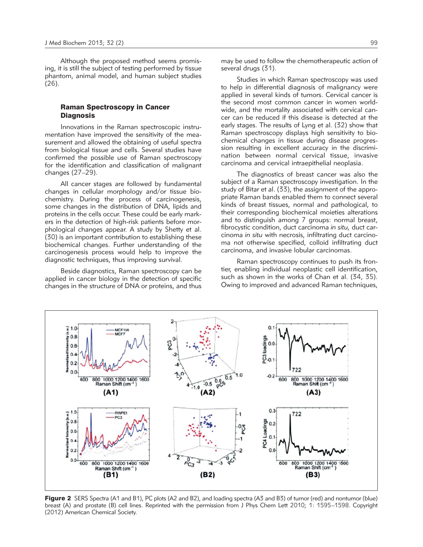Although the proposed method seems promising, it is still the subject of testing performed by tissue phantom, animal model, and human subject studies (26).

# Raman Spectroscopy in Cancer **Diagnosis**

Innovations in the Raman spectroscopic instrumentation have improved the sensitivity of the measurement and allowed the obtaining of useful spectra from biological tissue and cells. Several studies have confirmed the possible use of Raman spectroscopy for the identification and classification of malignant changes (27–29).

All cancer stages are followed by fundamental changes in cellular morphology and/or tissue biochemistry. During the process of carcinogenesis, some changes in the distribution of DNA, lipids and proteins in the cells occur. These could be early markers in the detection of high-risk patients before morphological changes appear. A study by Shetty et al. (30) is an important contribution to establishing these biochemical changes. Further understanding of the carcinogenesis process would help to improve the diagnostic techniques, thus improving survival.

Beside diagnostics, Raman spectroscopy can be applied in cancer biology in the detection of specific changes in the structure of DNA or proteins, and thus may be used to follow the chemotherapeutic action of several drugs (31).

Studies in which Raman spectroscopy was used to help in differential diagnosis of malignancy were applied in several kinds of tumors. Cervical cancer is the second most common cancer in women worldwide, and the mortality associated with cervical cancer can be reduced if this disease is detected at the early stages. The results of Lyng et al. (32) show that Raman spectroscopy displays high sensitivity to biochemical changes in tissue during disease progression resulting in excellent accuracy in the discrimination between normal cervical tissue, invasive carcinoma and cervical intraepithelial neoplasia.

The diagnostics of breast cancer was also the subject of a Raman spectroscopy investigation. In the study of Bitar et al. (33), the assignment of the appropriate Raman bands enabled them to connect several kinds of breast tissues, normal and pathological, to their corresponding biochemical moieties alterations and to distinguish among 7 groups: normal breast, fibrocystic condition, duct carcinoma *in situ,* duct carcinoma *in situ* with necrosis, infiltrating duct carcinoma not otherwise specified, colloid infiltrating duct carcinoma, and invasive lobular carcinomas.

Raman spectroscopy continues to push its frontier, enabling individual neoplastic cell identification, such as shown in the works of Chan et al. (34, 35). Owing to improved and advanced Raman techniques,

 $0.1$ ity (a.u.)  $1.0$ MCF10A  $\mathfrak{g}^{\mathfrak{a}}$  $0.8$ PC3 loadings<br>-0.1  $0.6$  $\frac{1}{2}$  0.4<br>  $\frac{1}{2}$  0.2<br>  $\frac{1}{2}$  0.0  $-2$ 1.0  $-0.2$  $0.5$ 800 1000 1200 1400 1600<br>Raman Shift (cm<sup>-1</sup>) 800 1000 1200 1400 1600<br>Raman Shift (cm<sup>-1</sup>) 600 600  $0.05$  $-0.5$  $-1.0$  $(A1)$  $(A2)$  $(A3)$  $0.3$  $1.0$ Intensity (a.u.) RWPE1 722  $0.8$ Loadings  $0.2$  $0.6$  $0.1$ **Normalized**  $\bar{3}$  $0.4$  $0.0$  $0.2$  $0.0$ 600 800 1000 1200 1400 1600 600 800 1000 1200 1400<br>Raman Shift (cm<sup>-1</sup>) 1600 Raman Shift (cm<sup>-1</sup>)  $(B2)$  $(B3)$  $(B1)$ 

Figure 2 SERS Spectra (A1 and B1), PC plots (A2 and B2), and loading spectra (A3 and B3) of tumor (red) and nontumor (blue) breast (A) and prostate (B) cell lines. Reprinted with the permission from J Phys Chem Lett 2010; 1: 1595–1598. Copyright (2012) American Chemical Society.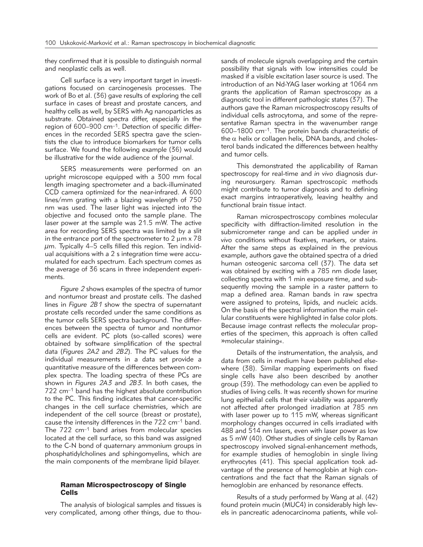they confirmed that it is possible to distinguish normal and neoplastic cells as well.

Cell surface is a very important target in investigations focused on carcinogenesis processes. The work of Bo et al. (36) gave results of exploring the cell surface in cases of breast and prostate cancers, and healthy cells as well, by SERS with Ag nanoparticles as substrate. Obtained spectra differ, especially in the region of 600–900 cm–1. Detection of specific differences in the recorded SERS spectra gave the scientists the clue to introduce biomarkers for tumor cells surface. We found the following example (36) would be illustrative for the wide audience of the journal.

SERS measurements were performed on an upright microscope equipped with a 300 mm focal length imaging spectrometer and a back-illuminated CCD camera optimized for the near-infrared. A 600 lines/mm grating with a blazing wavelength of 750 nm was used. The laser light was injected into the objective and focused onto the sample plane. The laser power at the sample was 21.5 mW. The active area for recording SERS spectra was limited by a slit in the entrance port of the spectrometer to  $2 \mu m \times 78$  $\mu$ m. Typically 4–5 cells filled this region. Ten individual acquisitions with a 2 s integration time were accumulated for each spectrum. Each spectrum comes as the average of 36 scans in three independent experiments.

*Figure 2* shows examples of the spectra of tumor and nontumor breast and prostate cells. The dashed lines in *Figure 2B1* show the spectra of supernatant prostate cells recorded under the same conditions as the tumor cells SERS spectra background. The differences between the spectra of tumor and nontumor cells are evident. PC plots (so-called scores) were obtained by software simplification of the spectral data (*Figures 2A2* and *2B2*). The PC values for the individual measurements in a data set provide a quantitative measure of the differences between complex spectra. The loading spectra of these PCs are shown in *Figures 2A3* and *2B3*. In both cases, the 722 cm–1 band has the highest absolute contribution to the PC. This finding indicates that cancer-specific changes in the cell surface chemistries, which are independent of the cell source (breast or prostate), cause the intensity differences in the 722 cm–1 band. The 722 cm<sup>-1</sup> band arises from molecular species located at the cell surface, so this band was assigned to the C-N bond of quaternary ammonium groups in phosphatidylcholines and sphingomyelins, which are the main components of the membrane lipid bilayer.

# Raman Microspectroscopy of Single Cells

The analysis of biological samples and tissues is very complicated, among other things, due to thousands of molecule signals overlapping and the certain possibility that signals with low intensities could be masked if a visible excitation laser source is used. The introduction of an Nd-YAG laser working at 1064 nm grants the application of Raman spectroscopy as a diagnostic tool in different pathologic states (37). The authors gave the Raman microspectroscopy results of individual cells astrocytoma, and some of the representative Raman spectra in the wavenumber range 600–1800 cm–1. The protein bands characteristic of the  $\alpha$  helix or collagen helix, DNA bands, and cholesterol bands indicated the differences between healthy and tumor cells.

This demonstrated the applicability of Raman spectroscopy for real-time and *in vivo* diagnosis during neurosurgery. Raman spectroscopic methods might contribute to tumor diagnosis and to defining exact margins intraoperatively, leaving healthy and functional brain tissue intact.

Raman microspectroscopy combines molecular specificity with diffraction-limited resolution in the submicrometer range and can be applied under *in vivo* conditions without fixatives, markers, or stains. After the same steps as explained in the previous example, authors gave the obtained spectra of a dried human osteogenic sarcoma cell (37). The data set was obtained by exciting with a 785 nm diode laser, collecting spectra with 1 min exposure time, and subsequently moving the sample in a raster pattern to map a defined area. Raman bands in raw spectra were assigned to proteins, lipids, and nucleic acids. On the basis of the spectral information the main cellular constituents were highlighted in false color plots. Because image contrast reflects the molecular properties of the specimen, this approach is often called »molecular staining«.

Details of the instrumentation, the analysis, and data from cells in medium have been published elsewhere (38). Similar mapping experiments on fixed single cells have also been described by another group (39). The methodology can even be applied to studies of living cells. It was recently shown for murine lung epithelial cells that their viability was apparently not affected after prolonged irradiation at 785 nm with laser power up to 115 mW, whereas significant morphology changes occurred in cells irradiated with 488 and 514 nm lasers, even with laser power as low as 5 mW (40). Other studies of single cells by Raman spectroscopy involved signal-enhancement methods, for example studies of hemoglobin in single living erythrocytes (41). This special application took advantage of the presence of hemoglobin at high concentrations and the fact that the Raman signals of hemoglobin are enhanced by resonance effects.

Results of a study performed by Wang at al. (42) found protein mucin (MUC4) in considerably high levels in pancreatic adenocarcinoma patients, while vol-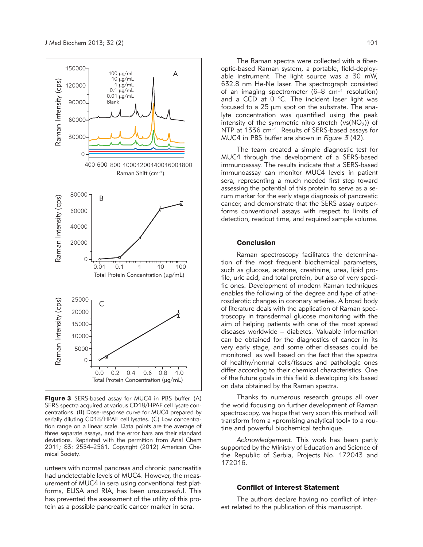

Figure 3 SERS-based assay for MUC4 in PBS buffer. (A) SERS spectra acquired at various CD18/HPAF cell lysate concentrations. (B) Dose-response curve for MUC4 prepared by serially diluting CD18/HPAF cell lysates. (C) Low concentration range on a linear scale. Data points are the average of three separate assays, and the error bars are their standard deviations. Reprinted with the permition from Anal Chem 2011; 83: 2554-2561. Copyright (2012) American Chemical Society.

unteers with normal pancreas and chronic pancreatitis had undetectable levels of MUC4. However, the measurement of MUC4 in sera using conventional test platforms, ELISA and RIA, has been unsuccessful. This has prevented the assessment of the utility of this protein as a possible pancreatic cancer marker in sera.

The Raman spectra were collected with a fiberoptic-based Raman system, a portable, field-deployable instrument. The light source was a 30 mW, 632.8 nm He-Ne laser. The spectrograph consisted of an imaging spectrometer (6–8 cm–1 resolution) and a CCD at  $0$  °C. The incident laser light was focused to a  $25 \mu m$  spot on the substrate. The analyte concentration was quantified using the peak intensity of the symmetric nitro stretch ( $vs(NO<sub>2</sub>)$ ) of NTP at 1336 cm<sup>-1</sup>. Results of SERS-based assays for MUC4 in PBS buffer are shown in *Figure 3* (42).

The team created a simple diagnostic test for MUC4 through the development of a SERS-based immunoassay. The results indicate that a SERS-based immunoassay can monitor MUC4 levels in patient sera, representing a much needed first step toward assessing the potential of this protein to serve as a serum marker for the early stage diagnosis of pancreatic cancer, and demonstrate that the SERS assay outperforms conventional assays with respect to limits of detection, readout time, and required sample volume.

# **Conclusion**

Raman spectroscopy facilitates the determination of the most frequent biochemical parameters, such as glucose, acetone, creatinine, urea, lipid profile, uric acid, and total protein, but also of very specific ones. Development of modern Raman techniques enables the following of the degree and type of atherosclerotic changes in coronary arteries. A broad body of literature deals with the application of Raman spectroscopy in transdermal glucose monitoring with the aim of helping patients with one of the most spread diseases worldwide – diabetes. Valuable information can be obtained for the diagnostics of cancer in its very early stage, and some other diseases could be monitored as well based on the fact that the spectra of healthy/normal cells/tissues and pathologic ones differ according to their chemical characteristics. One of the future goals in this field is developing kits based on data obtained by the Raman spectra.

Thanks to numerous research groups all over the world focusing on further development of Raman spectroscopy, we hope that very soon this method will transform from a »promising analytical tool« to a routine and powerful biochemical technique.

*Acknowledgement*. This work has been partly supported by the Ministry of Education and Science of the Republic of Serbia, Projects No. 172043 and 172016.

# Conflict of Interest Statement

The authors declare having no conflict of interest related to the publication of this manuscript.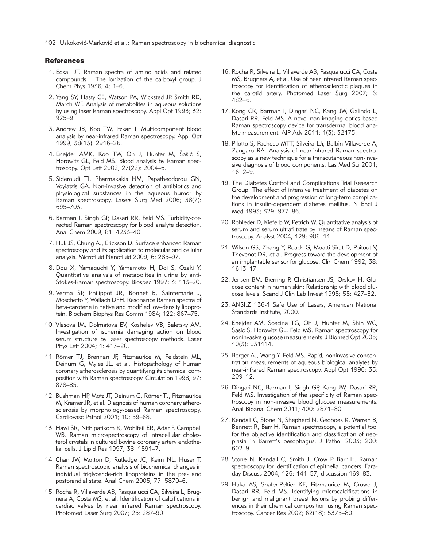#### **References**

- 1. Edsall JT. Raman spectra of amino acids and related compounds I. The ionization of the carboxyl group. J Chem Phys 1936; 4: 1–6.
- 2. Yang SY, Hasty CE, Watson PA, Wicksted JP, Smith RD, March WF. Analysis of metabolites in aqueous solutions by using laser Raman spectroscopy. Appl Opt 1993; 32: 925–9.
- 3. Andrew JB, Koo TW, Itzkan I. Multicomponent blood analysis by near-infrared Raman spectroscopy. Appl Opt 1999; 38(13): 2916–26.
- 4. Enejder AMK, Koo TW, Oh J, Hunter M, Sašić S, Horowitz GL, Feld MS. Blood analysis by Raman spectroscopy. Opt Lett 2002; 27(22): 2004–6.
- 5. Sideroudi TI, Pharmakakis NM, Papatheodorou GN, Voyiatzis GA. Non-invasive detection of antibiotics and physiological substances in the aqueous humor by Raman spectroscopy. Lasers Surg Med 2006; 38(7): 695–703.
- 6. Barman I, Singh GP, Dasari RR, Feld MS. Turbidity-corrected Raman spectroscopy for blood analyte detection. Anal Chem 2009; 81: 4233–40.
- 7. Huk JS, Chung AJ, Erickson D. Surface enhanced Raman spectroscopy and its application to molecular and cellular analysis. Microfluid Nanofluid 2009; 6: 285–97.
- 8. Dou X, Yamaguchi Y, Yamamoto H, Doi S, Ozaki Y. Quan titative analysis of metabolites in urine by anti-Stokes-Raman spectroscopy. Biospec 1997; 3: 113-20.
- 9. Verma SP, Philippot JR, Bonnet B, Saintemarie J, Moschetto Y, Wallach DFH. Resonance Raman spectra of beta-carotene in native and modified low-density lipoprotein. Biochem Biophys Res Comm 1984; 122: 867–75.
- 10. Vlasova IM, Dolmatova EV, Koshelev VB, Saletsky AM. Investigation of ischemia damaging action on blood serum structure by laser spectroscopy methods. Laser Phys Lett 2004; 1: 417–20.
- 11. Römer TJ, Brennan JF, Fitzmaurice M, Feldstein ML, Deinum G, Myles JL, et al. Histopathology of human coronary atherosclerosis by quantifying its chemical composition with Raman spectroscopy. Circulation 1998; 97: 878–85.
- 12. Bushman HP, Motz JT, Deinum G, Römer TJ, Fitzmaurice M, Kramer JR, et al. Diagnosis of human coronary atherosclerosis by morphology-based Raman spectroscopy. Cardiovasc Pathol 2001; 10: 59–68.
- 13. Hawi SR, Nithipatikom K, Wohlfeil ER, Adar F, Campbell WB. Raman microspectroscopy of intracellular cholesterol crystals in cultured bovine coronary artery endothelial cells. J Lipid Res 1997; 38: 1591–7.
- 14. Chan JW, Motton D, Rutledge JC, Keim NL, Huser T. Raman spectroscopic analysis of biochemical changes in individual triglyceride-rich lipoproteins in the pre- and postprandial state. Anal Chem 2005; 77: 5870–6.
- 15. Rocha R, Villaverde AB, Pasqualucci CA, Silveira L, Brugnera A, Costa MS, et al. Identification of calcifications in cardiac valves by near infrared Raman spectroscopy. Photomed Laser Surg 2007; 25: 287–90.
- 16. Rocha R, Silveira L, Villaverde AB, Pasqualucci CA, Costa MS, Brugnera A, et al. Use of near infrared Raman spectroscopy for identification of atherosclerotic plaques in the carotid artery. Photomed Laser Surg 2007; 6: 482–6.
- 17. Kong CR, Barman I, Dingari NC, Kang JW, Galindo L, Dasari RR, Feld MS. A novel non-imaging optics based Raman spectroscopy device for transdermal blood analyte measurement. AIP Adv 2011; 1(3): 32175.
- 18. Pilotto S, Pacheco MTT, Silveira LJr, Balbin Villaverde A, Zangaro RA. Analysis of near-infrared Raman spectroscopy as a new technique for a transcutaneous non-invasive diagnosis of blood components. Las Med Sci 2001; 16: 2–9.
- 19. The Diabetes Control and Complications Trial Research Group. The effect of intensive treatment of diabetes on the development and progression of long-term complications in insulin-dependent diabetes mellitus. N Engl J Med 1993; 329: 977–86.
- 20. Rohleder D, Kieferb W, Petrich W. Quantitative analysis of serum and serum ultrafiltrate by means of Raman spectroscopy. Analyst 2004; 129: 906–11.
- 21. Wilson GS, Zhang Y, Reach G, Moatti-Sirat D, Poitout V, Thevenot DR, et al. Progress toward the development of an implantable sensor for glucose. Clin Chem 1992; 38: 1613–17.
- 22. Jensen BM, Bjerring P, Christiansen JS, Orskov H. Glucose content in human skin: Relationship with blood glucose levels. Scand J Clin Lab Invest 1995; 55: 427–32.
- 23. ANSI.Z 136-1 Safe Use of Lasers, American National Standards Institute, 2000.
- 24. Enejder AM, Scecina TG, Oh J, Hunter M, Shih WC, Sasic S, Horowitz GL, Feld MS. Raman spectroscopy for noninvasive glucose measurements. J Biomed Opt 2005; 10(3): 031114.
- 25. Berger AJ, Wang Y, Feld MS. Rapid, noninvasive concentration measurements of aqueous biological analytes by near-infrared Raman spectroscopy. Appl Opt 1996; 35: 209–12.
- 26. Dingari NC, Barman I, Singh GP, Kang JW, Dasari RR, Feld MS. Investigation of the specificity of Raman spectroscopy in non-invasive blood glucose measurements. Anal Bioanal Chem 2011; 400: 2871–80.
- 27. Kendall C, Stone N, Shepherd N, Geoboes K, Warren B, Bennett R, Barr H. Raman spectroscopy, a potential tool for the objective identification and classification of neoplasia in Barrett's oesophagus. J Pathol 2003; 200: 602–9.
- 28. Stone N, Kendall C, Smith J, Crow P, Barr H. Raman spectroscopy for identification of epithelial cancers. Faraday Discuss 2004; 126: 141–57; discussion 169–83.
- 29. Haka AS, Shafer-Peltier KE, Fitzmaurice M, Crowe J, Dasari RR, Feld MS. Identifying microcalcifications in benign and malignant breast lesions by probing differences in their chemical composition using Raman spectroscopy. Cancer Res 2002; 62(18): 5375–80.